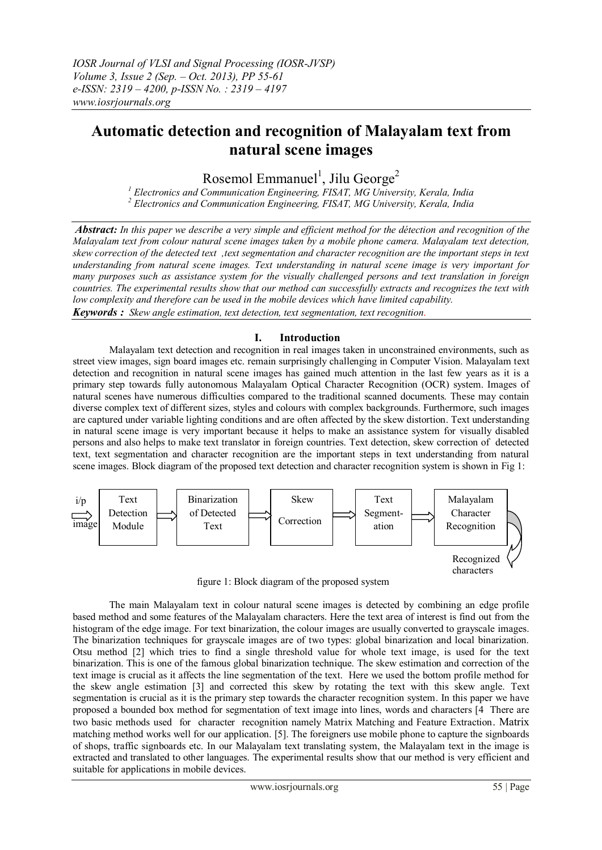# **Automatic detection and recognition of Malayalam text from natural scene images**

Rosemol Emmanuel<sup>1</sup>, Jilu George<sup>2</sup>

*<sup>1</sup> Electronics and Communication Engineering, FISAT, MG University, Kerala, India <sup>2</sup> Electronics and Communication Engineering, FISAT, MG University, Kerala, India* 

*Abstract: In this paper we describe a very simple and efficient method for the détection and recognition of the Malayalam text from colour natural scene images taken by a mobile phone camera. Malayalam text detection, skew correction of the detected text ,text segmentation and character recognition are the important steps in text understanding from natural scene images. Text understanding in natural scene image is very important for many purposes such as assistance system for the visually challenged persons and text translation in foreign countries. The experimental results show that our method can successfully extracts and recognizes the text with low complexity and therefore can be used in the mobile devices which have limited capability. Keywords : Skew angle estimation, text detection, text segmentation, text recognition*.

# **I. Introduction**

Malayalam text detection and recognition in real images taken in unconstrained environments, such as street view images, sign board images etc. remain surprisingly challenging in Computer Vision. Malayalam text detection and recognition in natural scene images has gained much attention in the last few years as it is a primary step towards fully autonomous Malayalam Optical Character Recognition (OCR) system. Images of natural scenes have numerous difficulties compared to the traditional scanned documents. These may contain diverse complex text of different sizes, styles and colours with complex backgrounds. Furthermore, such images are captured under variable lighting conditions and are often affected by the skew distortion. Text understanding in natural scene image is very important because it helps to make an assistance system for visually disabled persons and also helps to make text translator in foreign countries. Text detection, skew correction of detected text, text segmentation and character recognition are the important steps in text understanding from natural scene images. Block diagram of the proposed text detection and character recognition system is shown in Fig 1:



figure 1: Block diagram of the proposed system

 The main Malayalam text in colour natural scene images is detected by combining an edge profile based method and some features of the Malayalam characters. Here the text area of interest is find out from the histogram of the edge image. For text binarization, the colour images are usually converted to grayscale images. The binarization techniques for grayscale images are of two types: global binarization and local binarization. Otsu method [2] which tries to find a single threshold value for whole text image, is used for the text binarization. This is one of the famous global binarization technique. The skew estimation and correction of the text image is crucial as it affects the line segmentation of the text. Here we used the bottom profile method for the skew angle estimation [3] and corrected this skew by rotating the text with this skew angle. Text segmentation is crucial as it is the primary step towards the character recognition system. In this paper we have proposed a bounded box method for segmentation of text image into lines, words and characters [4 There are two basic methods used for character recognition namely Matrix Matching and Feature Extraction. Matrix matching method works well for our application. [5]. The foreigners use mobile phone to capture the signboards of shops, traffic signboards etc. In our Malayalam text translating system, the Malayalam text in the image is extracted and translated to other languages. The experimental results show that our method is very efficient and suitable for applications in mobile devices.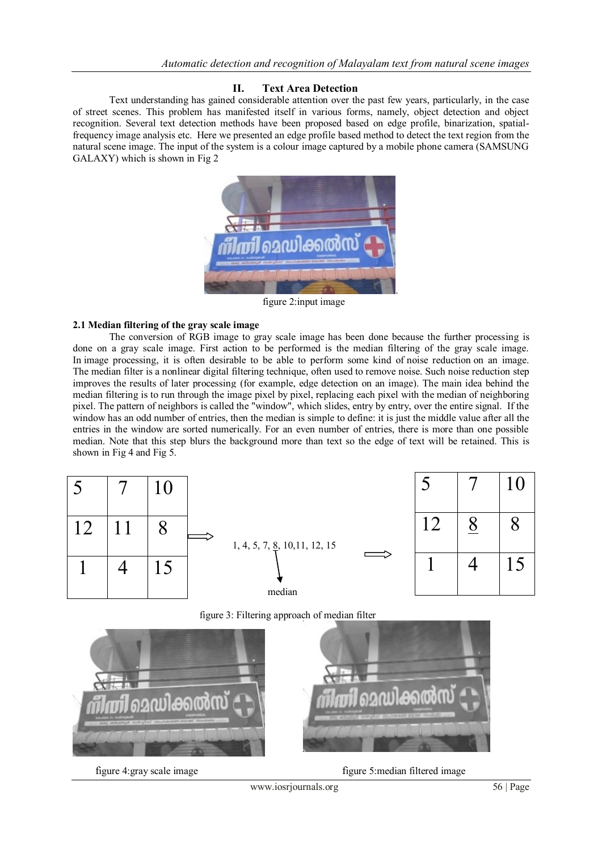# **II. Text Area Detection**

Text understanding has gained considerable attention over the past few years, particularly, in the case of street scenes. This problem has manifested itself in various forms, namely, object detection and object recognition. Several text detection methods have been proposed based on edge profile, binarization, spatialfrequency image analysis etc. Here we presented an edge profile based method to detect the text region from the natural scene image. The input of the system is a colour image captured by a mobile phone camera (SAMSUNG GALAXY) which is shown in Fig 2



figure 2:input image

# **2.1 Median filtering of the gray scale image**

The conversion of RGB image to gray scale image has been done because the further processing is done on a gray scale image. First action to be performed is the median filtering of the gray scale image. In image processing, it is often desirable to be able to perform some kind of noise reduction on an image. The median filter is a nonlinear digital filtering technique, often used to remove noise. Such noise reduction step improves the results of later processing (for example, edge detection on an image). The main idea behind the median filtering is to run through the image pixel by pixel, replacing each pixel with the median of neighboring pixel. The pattern of neighbors is called the "window", which slides, entry by entry, over the entire signal. If the window has an odd number of entries, then the median is simple to define: it is just the middle value after all the entries in the window are sorted numerically. For an even number of entries, there is more than one possible median. Note that this step blurs the background more than text so the edge of text will be retained. This is shown in Fig 4 and Fig 5.



figure 3: Filtering approach of median filter



figure 4:gray scale image figure 5:median filtered image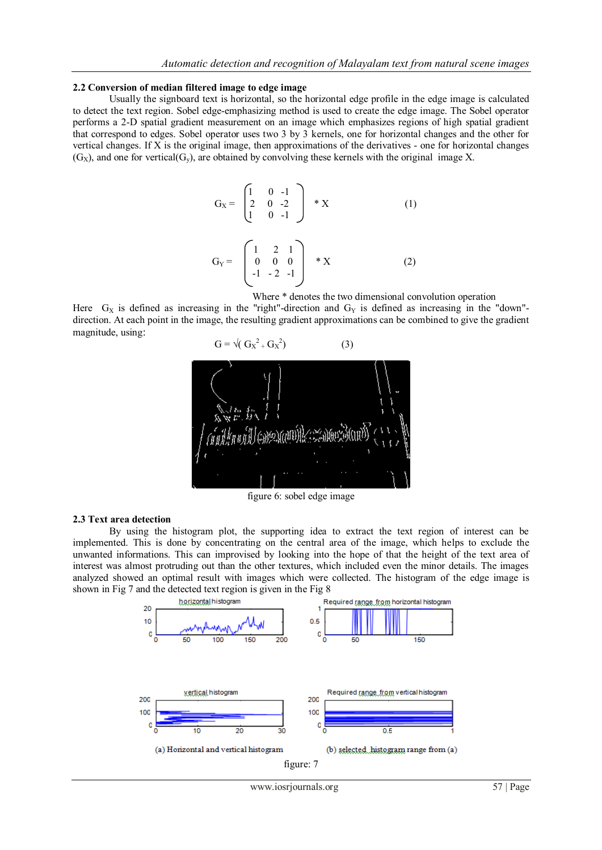#### **2.2 Conversion of median filtered image to edge image**

Usually the signboard text is horizontal, so the horizontal edge profile in the edge image is calculated to detect the text region. Sobel edge-emphasizing method is used to create the edge image. The Sobel operator performs a 2-D spatial gradient measurement on an image which emphasizes regions of high spatial gradient that correspond to edges. Sobel operator uses two 3 by 3 kernels, one for horizontal changes and the other for vertical changes. If X is the original image, then approximations of the derivatives - one for horizontal changes  $(G<sub>x</sub>)$ , and one for vertical $(G<sub>y</sub>)$ , are obtained by convolving these kernels with the original image X.

$$
G_X = \begin{pmatrix} 1 & 0 & -1 \\ 2 & 0 & -2 \\ 1 & 0 & -1 \end{pmatrix} * X \qquad (1)
$$

$$
G_Y = \begin{pmatrix} 1 & 2 & 1 \\ 0 & 0 & 0 \\ -1 & -2 & -1 \end{pmatrix} * X \qquad (2)
$$

Where \* denotes the two dimensional convolution operation

Here  $G_X$  is defined as increasing in the "right"-direction and  $G_Y$  is defined as increasing in the "down"direction. At each point in the image, the resulting gradient approximations can be combined to give the gradient magnitude, using:



figure 6: sobel edge image

#### **2.3 Text area detection**

By using the histogram plot, the supporting idea to extract the text region of interest can be implemented. This is done by concentrating on the central area of the image, which helps to exclude the unwanted informations. This can improvised by looking into the hope of that the height of the text area of interest was almost protruding out than the other textures, which included even the minor details. The images analyzed showed an optimal result with images which were collected. The histogram of the edge image is shown in Fig 7 and the detected text region is given in the Fig 8

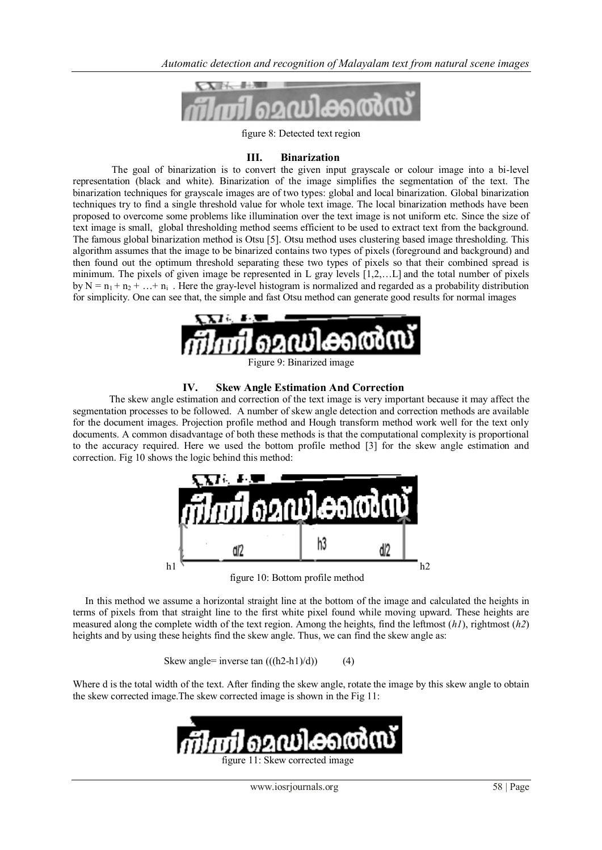

figure 8: Detected text region

## **III. Binarization**

The goal of binarization is to convert the given input grayscale or colour image into a bi-level representation (black and white). Binarization of the image simplifies the segmentation of the text. The binarization techniques for grayscale images are of two types: global and local binarization. Global binarization techniques try to find a single threshold value for whole text image. The local binarization methods have been proposed to overcome some problems like illumination over the text image is not uniform etc. Since the size of text image is small, global thresholding method seems efficient to be used to extract text from the background. The famous global binarization method is Otsu [5]. Otsu method uses clustering based image thresholding. This algorithm assumes that the image to be binarized contains two types of pixels (foreground and background) and then found out the optimum threshold separating these two types of pixels so that their combined spread is minimum. The pixels of given image be represented in L gray levels [1,2,…L] and the total number of pixels by  $N = n_1 + n_2 + ... + n_i$ . Here the gray-level histogram is normalized and regarded as a probability distribution for simplicity. One can see that, the simple and fast Otsu method can generate good results for normal images



#### Figure 9: Binarized image

#### **IV. Skew Angle Estimation And Correction**

 The skew angle estimation and correction of the text image is very important because it may affect the segmentation processes to be followed. A number of skew angle detection and correction methods are available for the document images. Projection profile method and Hough transform method work well for the text only documents. A common disadvantage of both these methods is that the computational complexity is proportional to the accuracy required. Here we used the bottom profile method [3] for the skew angle estimation and correction. Fig 10 shows the logic behind this method:



figure 10: Bottom profile method

 In this method we assume a horizontal straight line at the bottom of the image and calculated the heights in terms of pixels from that straight line to the first white pixel found while moving upward. These heights are measured along the complete width of the text region. Among the heights, find the leftmost (*h1*), rightmost (*h2*) heights and by using these heights find the skew angle. Thus, we can find the skew angle as:

Skew angle= inverse tan  $((h2-h1)/d)$  (4)

Where d is the total width of the text. After finding the skew angle, rotate the image by this skew angle to obtain the skew corrected image.The skew corrected image is shown in the Fig 11:

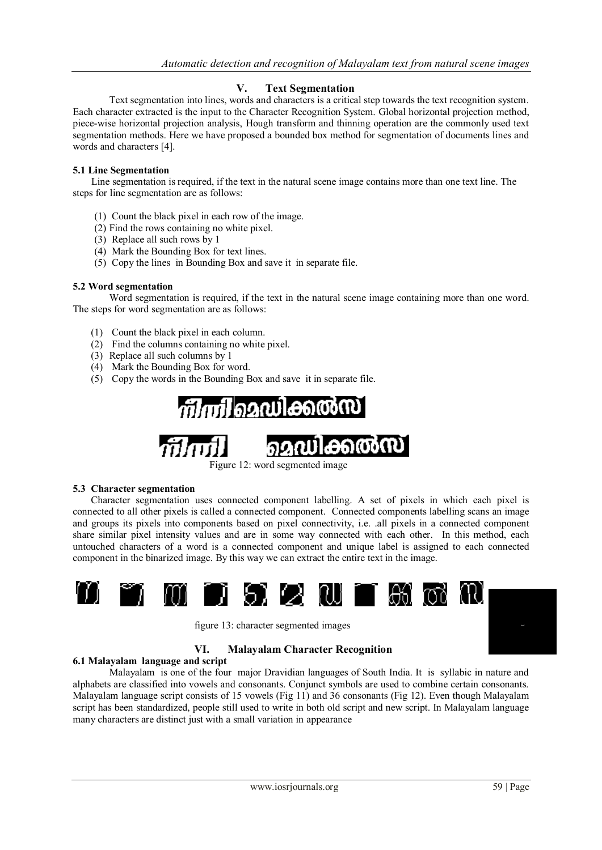# **V. Text Segmentation**

Text segmentation into lines, words and characters is a critical step towards the text recognition system. Each character extracted is the input to the Character Recognition System. Global horizontal projection method, piece-wise horizontal projection analysis, Hough transform and thinning operation are the commonly used text segmentation methods. Here we have proposed a bounded box method for segmentation of documents lines and words and characters [4].

### **5.1 Line Segmentation**

 Line segmentation is required, if the text in the natural scene image contains more than one text line. The steps for line segmentation are as follows:

- (1) Count the black pixel in each row of the image.
- (2) Find the rows containing no white pixel.
- (3) Replace all such rows by 1
- (4) Mark the Bounding Box for text lines.
- (5) Copy the lines in Bounding Box and save it in separate file.

## **5.2 Word segmentation**

 Word segmentation is required, if the text in the natural scene image containing more than one word. The steps for word segmentation are as follows:

- (1) Count the black pixel in each column.
- (2) Find the columns containing no white pixel.
- (3) Replace all such columns by 1
- (4) Mark the Bounding Box for word.
- (5) Copy the words in the Bounding Box and save it in separate file.





Figure 12: word segmented image

#### **5.3 Character segmentation**

Character segmentation uses connected component labelling. A set of pixels in which each pixel is connected to all other pixels is called a connected component. Connected components labelling scans an image and groups its pixels into components based on pixel connectivity, i.e. .all pixels in a connected component share similar pixel intensity values and are in some way connected with each other. In this method, each untouched characters of a word is a connected component and unique label is assigned to each connected component in the binarized image. By this way we can extract the entire text in the image.



figure 13: character segmented images

# **VI. Malayalam Character Recognition**

#### **6.1 Malayalam language and script**

Malayalam is one of the four major Dravidian languages of South India. It is syllabic in nature and alphabets are classified into vowels and consonants. Conjunct symbols are used to combine certain consonants. Malayalam language script consists of 15 vowels (Fig 11) and 36 consonants (Fig 12). Even though Malayalam script has been standardized, people still used to write in both old script and new script. In Malayalam language many characters are distinct just with a small variation in appearance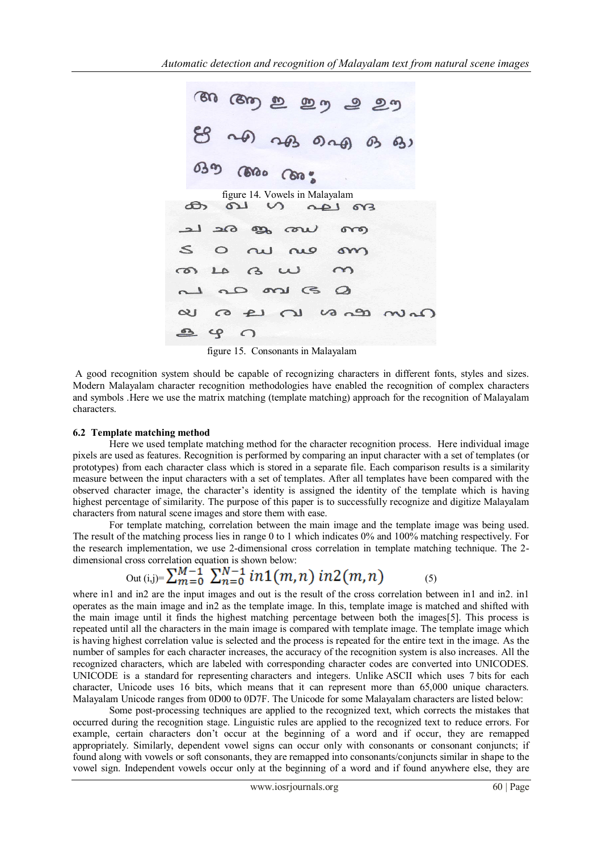figure 14. Vowels in Malayalam പ  $190$  $613$  $\Omega$  $\,<\,$  $\circ$ ۵  $\epsilon$ σx  $\infty$  $va$ י cp C

figure 15. Consonants in Malayalam

A good recognition system should be capable of recognizing characters in different fonts, styles and sizes. Modern Malayalam character recognition methodologies have enabled the recognition of complex characters and symbols .Here we use the matrix matching (template matching) approach for the recognition of Malayalam characters.

#### **6.2 Template matching method**

Here we used template matching method for the character recognition process. Here individual image pixels are used as features. Recognition is performed by comparing an input character with a set of templates (or prototypes) from each character class which is stored in a separate file. Each comparison results is a similarity measure between the input characters with a set of templates. After all templates have been compared with the observed character image, the character's identity is assigned the identity of the template which is having highest percentage of similarity. The purpose of this paper is to successfully recognize and digitize Malayalam characters from natural scene images and store them with ease.

 For template matching, correlation between the main image and the template image was being used. The result of the matching process lies in range 0 to 1 which indicates 0% and 100% matching respectively. For the research implementation, we use 2-dimensional cross correlation in template matching technique. The 2 dimensional cross correlation equation is shown below:

$$
Out (i,j)=\sum_{m=0}^{M-1}\sum_{n=0}^{N-1}in1(m,n) in2(m,n) \qquad (5)
$$

where in1 and in2 are the input images and out is the result of the cross correlation between in1 and in2. in1 operates as the main image and in2 as the template image. In this, template image is matched and shifted with the main image until it finds the highest matching percentage between both the images[5]. This process is repeated until all the characters in the main image is compared with template image. The template image which is having highest correlation value is selected and the process is repeated for the entire text in the image. As the number of samples for each character increases, the accuracy of the recognition system is also increases. All the recognized characters, which are labeled with corresponding character codes are converted into UNICODES. UNICODE is a standard for representing characters and integers. Unlike ASCII which uses 7 bits for each character, Unicode uses 16 bits, which means that it can represent more than 65,000 unique characters. Malayalam Unicode ranges from 0D00 to 0D7F. The Unicode for some Malayalam characters are listed below:

 Some post-processing techniques are applied to the recognized text, which corrects the mistakes that occurred during the recognition stage. Linguistic rules are applied to the recognized text to reduce errors. For example, certain characters don't occur at the beginning of a word and if occur, they are remapped appropriately. Similarly, dependent vowel signs can occur only with consonants or consonant conjuncts; if found along with vowels or soft consonants, they are remapped into consonants/conjuncts similar in shape to the vowel sign. Independent vowels occur only at the beginning of a word and if found anywhere else, they are